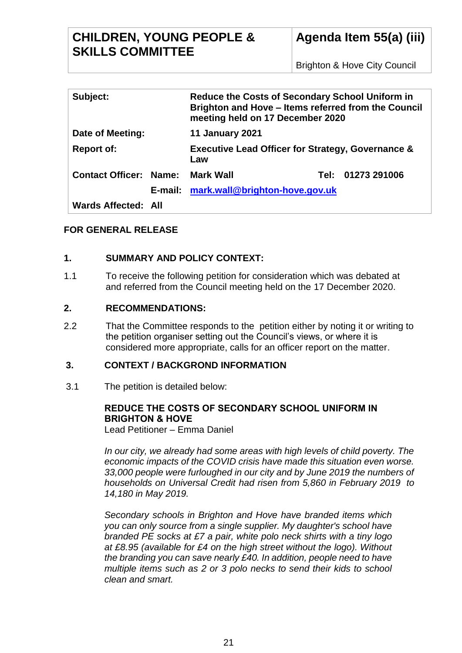| Subject:                      |  | <b>Reduce the Costs of Secondary School Uniform in</b><br>Brighton and Hove - Items referred from the Council<br>meeting held on 17 December 2020 |        |              |
|-------------------------------|--|---------------------------------------------------------------------------------------------------------------------------------------------------|--------|--------------|
| Date of Meeting:              |  | <b>11 January 2021</b>                                                                                                                            |        |              |
| <b>Report of:</b>             |  | <b>Executive Lead Officer for Strategy, Governance &amp;</b><br>Law                                                                               |        |              |
| <b>Contact Officer: Name:</b> |  | Mark Wall                                                                                                                                         | Tel: . | 01273 291006 |
|                               |  | E-mail: mark.wall@brighton-hove.gov.uk                                                                                                            |        |              |
| <b>Wards Affected: All</b>    |  |                                                                                                                                                   |        |              |

## **FOR GENERAL RELEASE**

## **1. SUMMARY AND POLICY CONTEXT:**

1.1 To receive the following petition for consideration which was debated at and referred from the Council meeting held on the 17 December 2020.

## **2. RECOMMENDATIONS:**

2.2 That the Committee responds to the petition either by noting it or writing to the petition organiser setting out the Council's views, or where it is considered more appropriate, calls for an officer report on the matter.

## **3. CONTEXT / BACKGROND INFORMATION**

3.1 The petition is detailed below:

#### **REDUCE THE COSTS OF SECONDARY SCHOOL UNIFORM IN BRIGHTON & HOVE** Lead Petitioner – Emma Daniel

*In our city, we already had some areas with high levels of child poverty. The economic impacts of the COVID crisis have made this situation even worse. 33,000 people were furloughed in our city and by June 2019 the numbers of households on Universal Credit had risen from 5,860 in February 2019 to 14,180 in May 2019.*

*Secondary schools in Brighton and Hove have branded items which you can only source from a single supplier. My daughter's school have branded PE socks at £7 a pair, white polo neck shirts with a tiny logo at £8.95 (available for £4 on the high street without the logo). Without the branding you can save nearly £40. In addition, people need to have multiple items such as 2 or 3 polo necks to send their kids to school clean and smart.*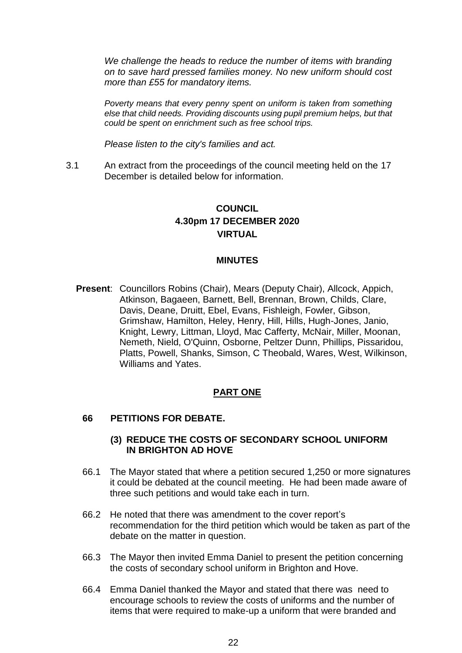*We challenge the heads to reduce the number of items with branding on to save hard pressed families money. No new uniform should cost more than £55 for mandatory items.*

*Poverty means that every penny spent on uniform is taken from something else that child needs. Providing discounts using pupil premium helps, but that could be spent on enrichment such as free school trips.*

*Please listen to the city's families and act.*

3.1 An extract from the proceedings of the council meeting held on the 17 December is detailed below for information.

# **COUNCIL 4.30pm 17 DECEMBER 2020 VIRTUAL**

#### **MINUTES**

**Present**: Councillors Robins (Chair), Mears (Deputy Chair), Allcock, Appich, Atkinson, Bagaeen, Barnett, Bell, Brennan, Brown, Childs, Clare, Davis, Deane, Druitt, Ebel, Evans, Fishleigh, Fowler, Gibson, Grimshaw, Hamilton, Heley, Henry, Hill, Hills, Hugh-Jones, Janio, Knight, Lewry, Littman, Lloyd, Mac Cafferty, McNair, Miller, Moonan, Nemeth, Nield, O'Quinn, Osborne, Peltzer Dunn, Phillips, Pissaridou, Platts, Powell, Shanks, Simson, C Theobald, Wares, West, Wilkinson, Williams and Yates.

### **PART ONE**

#### **66 PETITIONS FOR DEBATE.**

#### **(3) REDUCE THE COSTS OF SECONDARY SCHOOL UNIFORM IN BRIGHTON AD HOVE**

- 66.1 The Mayor stated that where a petition secured 1,250 or more signatures it could be debated at the council meeting. He had been made aware of three such petitions and would take each in turn.
- 66.2 He noted that there was amendment to the cover report's recommendation for the third petition which would be taken as part of the debate on the matter in question.
- 66.3 The Mayor then invited Emma Daniel to present the petition concerning the costs of secondary school uniform in Brighton and Hove.
- 66.4 Emma Daniel thanked the Mayor and stated that there was need to encourage schools to review the costs of uniforms and the number of items that were required to make-up a uniform that were branded and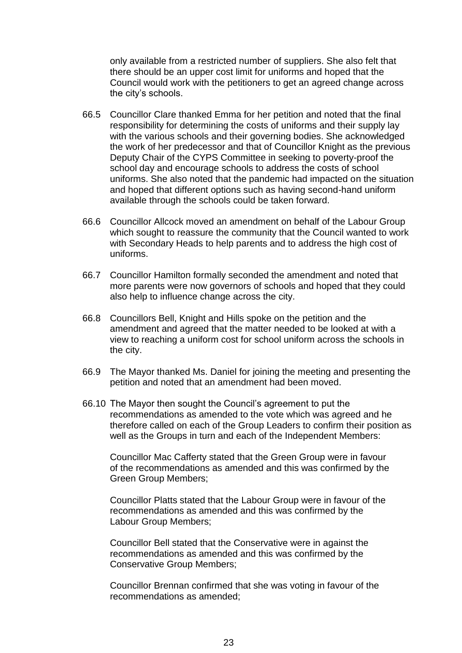only available from a restricted number of suppliers. She also felt that there should be an upper cost limit for uniforms and hoped that the Council would work with the petitioners to get an agreed change across the city's schools.

- 66.5 Councillor Clare thanked Emma for her petition and noted that the final responsibility for determining the costs of uniforms and their supply lay with the various schools and their governing bodies. She acknowledged the work of her predecessor and that of Councillor Knight as the previous Deputy Chair of the CYPS Committee in seeking to poverty-proof the school day and encourage schools to address the costs of school uniforms. She also noted that the pandemic had impacted on the situation and hoped that different options such as having second-hand uniform available through the schools could be taken forward.
- 66.6 Councillor Allcock moved an amendment on behalf of the Labour Group which sought to reassure the community that the Council wanted to work with Secondary Heads to help parents and to address the high cost of uniforms.
- 66.7 Councillor Hamilton formally seconded the amendment and noted that more parents were now governors of schools and hoped that they could also help to influence change across the city.
- 66.8 Councillors Bell, Knight and Hills spoke on the petition and the amendment and agreed that the matter needed to be looked at with a view to reaching a uniform cost for school uniform across the schools in the city.
- 66.9 The Mayor thanked Ms. Daniel for joining the meeting and presenting the petition and noted that an amendment had been moved.
- 66.10 The Mayor then sought the Council's agreement to put the recommendations as amended to the vote which was agreed and he therefore called on each of the Group Leaders to confirm their position as well as the Groups in turn and each of the Independent Members:

Councillor Mac Cafferty stated that the Green Group were in favour of the recommendations as amended and this was confirmed by the Green Group Members;

Councillor Platts stated that the Labour Group were in favour of the recommendations as amended and this was confirmed by the Labour Group Members;

Councillor Bell stated that the Conservative were in against the recommendations as amended and this was confirmed by the Conservative Group Members;

Councillor Brennan confirmed that she was voting in favour of the recommendations as amended;